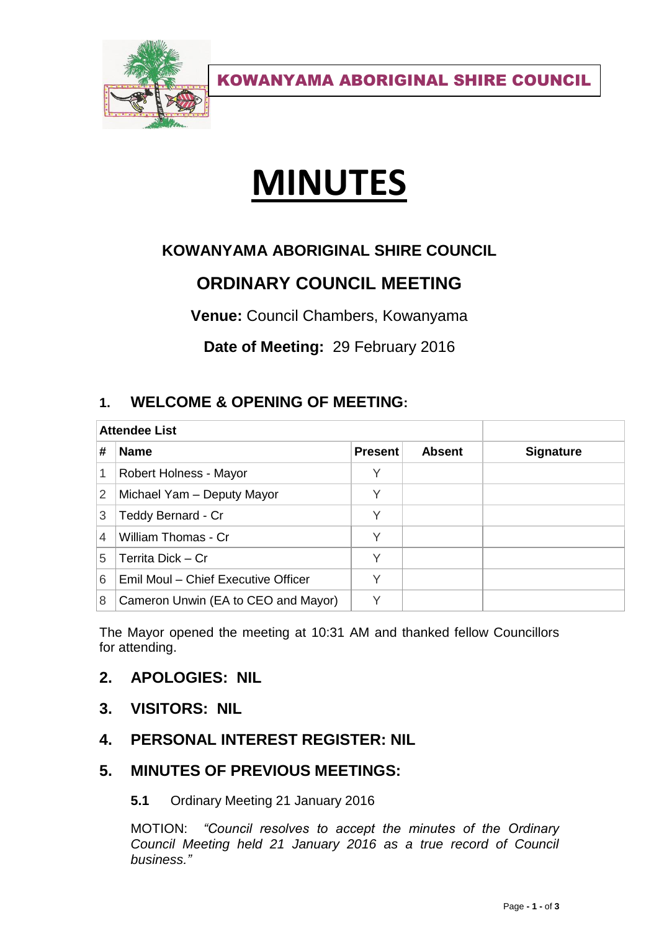

KOWANYAMA ABORIGINAL SHIRE COUNCIL

# **MINUTES**

## **KOWANYAMA ABORIGINAL SHIRE COUNCIL**

# **ORDINARY COUNCIL MEETING**

**Venue:** Council Chambers, Kowanyama

**Date of Meeting:** 29 February 2016

### **1. WELCOME & OPENING OF MEETING:**

| <b>Attendee List</b> |                                     |                |               |                  |
|----------------------|-------------------------------------|----------------|---------------|------------------|
| #                    | <b>Name</b>                         | <b>Present</b> | <b>Absent</b> | <b>Signature</b> |
| 1                    | Robert Holness - Mayor              |                |               |                  |
| 2                    | Michael Yam - Deputy Mayor          | V              |               |                  |
| 3                    | Teddy Bernard - Cr                  | V              |               |                  |
| 4                    | William Thomas - Cr                 | Υ              |               |                  |
| 5                    | Territa Dick - Cr                   | V              |               |                  |
| 6                    | Emil Moul - Chief Executive Officer |                |               |                  |
| 8                    | Cameron Unwin (EA to CEO and Mayor) |                |               |                  |

The Mayor opened the meeting at 10:31 AM and thanked fellow Councillors for attending.

#### **2. APOLOGIES: NIL**

- **3. VISITORS: NIL**
- **4. PERSONAL INTEREST REGISTER: NIL**

#### **5. MINUTES OF PREVIOUS MEETINGS:**

#### **5.1** Ordinary Meeting 21 January 2016

MOTION: *"Council resolves to accept the minutes of the Ordinary Council Meeting held 21 January 2016 as a true record of Council business."*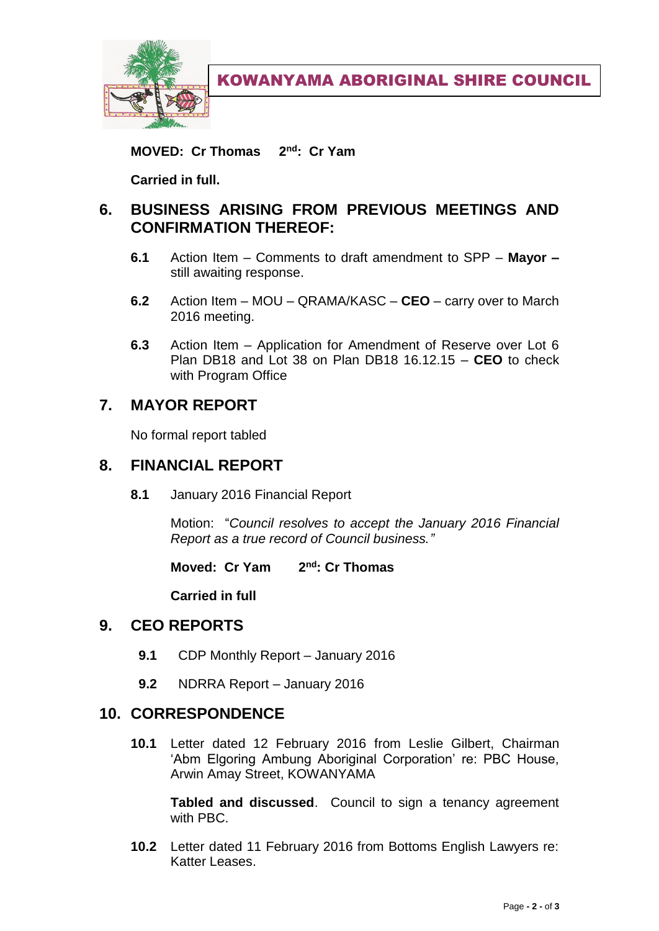

**MOVED: Cr Thomas : Cr Yam**

**Carried in full.**

#### **6. BUSINESS ARISING FROM PREVIOUS MEETINGS AND CONFIRMATION THEREOF:**

- **6.1** Action Item Comments to draft amendment to SPP **Mayor –** still awaiting response.
- **6.2** Action Item MOU QRAMA/KASC **CEO**  carry over to March 2016 meeting.
- **6.3** Action Item Application for Amendment of Reserve over Lot 6 Plan DB18 and Lot 38 on Plan DB18 16.12.15 – **CEO** to check with Program Office

#### **7. MAYOR REPORT**

No formal report tabled

#### **8. FINANCIAL REPORT**

**8.1** January 2016 Financial Report

Motion: "*Council resolves to accept the January 2016 Financial Report as a true record of Council business."*

**Moved: Cr Yam 2 nd: Cr Thomas**

**Carried in full**

#### **9. CEO REPORTS**

- **9.1** CDP Monthly Report January 2016
- **9.2** NDRRA Report January 2016

#### **10. CORRESPONDENCE**

**10.1** Letter dated 12 February 2016 from Leslie Gilbert, Chairman 'Abm Elgoring Ambung Aboriginal Corporation' re: PBC House, Arwin Amay Street, KOWANYAMA

**Tabled and discussed**. Council to sign a tenancy agreement with PBC.

**10.2** Letter dated 11 February 2016 from Bottoms English Lawyers re: Katter Leases.